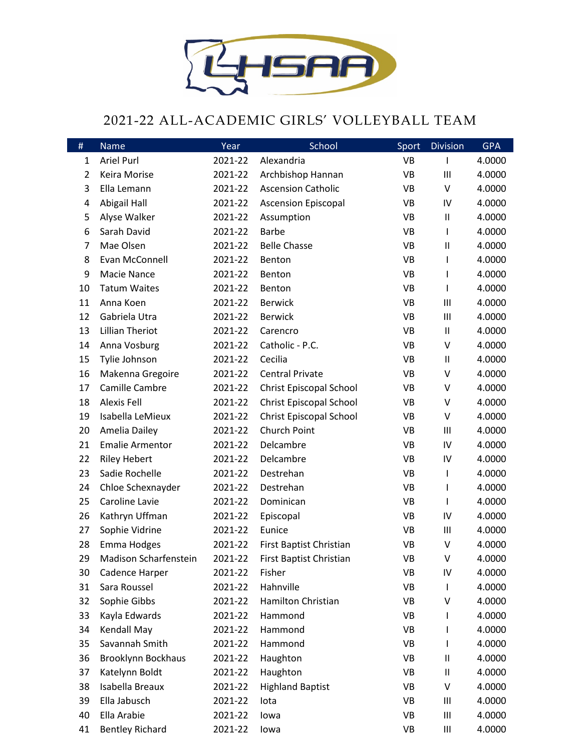

## 2021-22 ALL-ACADEMIC GIRLS' VOLLEYBALL TEAM

| $\#$           | Name                         | Year    | School                         | Sport     | <b>Division</b>                    | <b>GPA</b> |
|----------------|------------------------------|---------|--------------------------------|-----------|------------------------------------|------------|
| 1              | <b>Ariel Purl</b>            | 2021-22 | Alexandria                     | <b>VB</b> | ı                                  | 4.0000     |
| $\overline{2}$ | Keira Morise                 | 2021-22 | Archbishop Hannan              | <b>VB</b> | $\mathbf{III}$                     | 4.0000     |
| 3              | Ella Lemann                  | 2021-22 | <b>Ascension Catholic</b>      | <b>VB</b> | $\vee$                             | 4.0000     |
| 4              | Abigail Hall                 | 2021-22 | <b>Ascension Episcopal</b>     | VB        | IV                                 | 4.0000     |
| 5              | Alyse Walker                 | 2021-22 | Assumption                     | <b>VB</b> | $\ensuremath{\mathsf{II}}$         | 4.0000     |
| 6              | Sarah David                  | 2021-22 | <b>Barbe</b>                   | <b>VB</b> |                                    | 4.0000     |
| 7              | Mae Olsen                    | 2021-22 | <b>Belle Chasse</b>            | <b>VB</b> | $\sf II$                           | 4.0000     |
| 8              | Evan McConnell               | 2021-22 | Benton                         | <b>VB</b> |                                    | 4.0000     |
| 9              | Macie Nance                  | 2021-22 | Benton                         | <b>VB</b> |                                    | 4.0000     |
| 10             | <b>Tatum Waites</b>          | 2021-22 | Benton                         | <b>VB</b> |                                    | 4.0000     |
| 11             | Anna Koen                    | 2021-22 | <b>Berwick</b>                 | <b>VB</b> | $\mathbf{III}$                     | 4.0000     |
| 12             | Gabriela Utra                | 2021-22 | <b>Berwick</b>                 | <b>VB</b> | $\mathsf{III}\,$                   | 4.0000     |
| 13             | <b>Lillian Theriot</b>       | 2021-22 | Carencro                       | <b>VB</b> | $\sf II$                           | 4.0000     |
| 14             | Anna Vosburg                 | 2021-22 | Catholic - P.C.                | <b>VB</b> | V                                  | 4.0000     |
| 15             | Tylie Johnson                | 2021-22 | Cecilia                        | <b>VB</b> | $\sf II$                           | 4.0000     |
| 16             | Makenna Gregoire             | 2021-22 | <b>Central Private</b>         | <b>VB</b> | V                                  | 4.0000     |
| 17             | Camille Cambre               | 2021-22 | <b>Christ Episcopal School</b> | <b>VB</b> | V                                  | 4.0000     |
| 18             | <b>Alexis Fell</b>           | 2021-22 | Christ Episcopal School        | VB        | V                                  | 4.0000     |
| 19             | Isabella LeMieux             | 2021-22 | Christ Episcopal School        | <b>VB</b> | V                                  | 4.0000     |
| 20             | Amelia Dailey                | 2021-22 | Church Point                   | <b>VB</b> | $\mathsf{III}\,$                   | 4.0000     |
| 21             | <b>Emalie Armentor</b>       | 2021-22 | Delcambre                      | <b>VB</b> | IV                                 | 4.0000     |
| 22             | <b>Riley Hebert</b>          | 2021-22 | Delcambre                      | <b>VB</b> | IV                                 | 4.0000     |
| 23             | Sadie Rochelle               | 2021-22 | Destrehan                      | <b>VB</b> |                                    | 4.0000     |
| 24             | Chloe Schexnayder            | 2021-22 | Destrehan                      | <b>VB</b> |                                    | 4.0000     |
| 25             | Caroline Lavie               | 2021-22 | Dominican                      | <b>VB</b> |                                    | 4.0000     |
| 26             | Kathryn Uffman               | 2021-22 | Episcopal                      | VB        | IV                                 | 4.0000     |
| 27             | Sophie Vidrine               | 2021-22 | Eunice                         | <b>VB</b> | $\mathbf{III}$                     | 4.0000     |
| 28             | Emma Hodges                  | 2021-22 | First Baptist Christian        | <b>VB</b> | $\vee$                             | 4.0000     |
| 29             | <b>Madison Scharfenstein</b> | 2021-22 | First Baptist Christian        | <b>VB</b> | ٧                                  | 4.0000     |
| 30             | Cadence Harper               | 2021-22 | Fisher                         | <b>VB</b> | IV                                 | 4.0000     |
| 31             | Sara Roussel                 | 2021-22 | Hahnville                      | VB        |                                    | 4.0000     |
| 32             | Sophie Gibbs                 | 2021-22 | Hamilton Christian             | VB        | V                                  | 4.0000     |
| 33             | Kayla Edwards                | 2021-22 | Hammond                        | <b>VB</b> |                                    | 4.0000     |
| 34             | Kendall May                  | 2021-22 | Hammond                        | <b>VB</b> |                                    | 4.0000     |
| 35             | Savannah Smith               | 2021-22 | Hammond                        | VB        |                                    | 4.0000     |
| 36             | <b>Brooklynn Bockhaus</b>    | 2021-22 | Haughton                       | VB        | Ш                                  | 4.0000     |
| 37             | Katelynn Boldt               | 2021-22 | Haughton                       | <b>VB</b> | Ш                                  | 4.0000     |
| 38             | Isabella Breaux              | 2021-22 | <b>Highland Baptist</b>        | VB        | V                                  | 4.0000     |
| 39             | Ella Jabusch                 | 2021-22 | lota                           | VB        | $\mathbf{III}$                     | 4.0000     |
| 40             | Ella Arabie                  | 2021-22 | lowa                           | VB        | $\ensuremath{\mathsf{III}}\xspace$ | 4.0000     |
| 41             | <b>Bentley Richard</b>       | 2021-22 | lowa                           | VB        | Ш                                  | 4.0000     |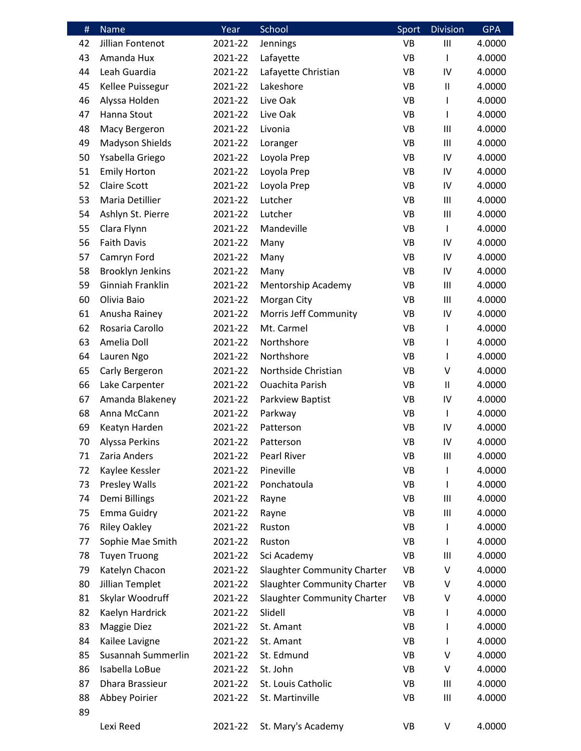| #  | Name                    | Year    | School                             | Sport          | <b>Division</b>  | <b>GPA</b> |
|----|-------------------------|---------|------------------------------------|----------------|------------------|------------|
| 42 | Jillian Fontenot        | 2021-22 | Jennings                           | <b>VB</b>      | $\mathsf{III}\,$ | 4.0000     |
| 43 | Amanda Hux              | 2021-22 | Lafayette                          | VB             | L                | 4.0000     |
| 44 | Leah Guardia            | 2021-22 | Lafayette Christian                | VB             | IV               | 4.0000     |
| 45 | Kellee Puissegur        | 2021-22 | Lakeshore                          | VB             | $\sf II$         | 4.0000     |
| 46 | Alyssa Holden           | 2021-22 | Live Oak                           | VB             |                  | 4.0000     |
| 47 | Hanna Stout             | 2021-22 | Live Oak                           | VB             | L                | 4.0000     |
| 48 | Macy Bergeron           | 2021-22 | Livonia                            | VB             | $\mathbf{III}$   | 4.0000     |
| 49 | Madyson Shields         | 2021-22 | Loranger                           | VB             | Ш                | 4.0000     |
| 50 | Ysabella Griego         | 2021-22 | Loyola Prep                        | <b>VB</b>      | IV               | 4.0000     |
| 51 | <b>Emily Horton</b>     | 2021-22 | Loyola Prep                        | VB             | IV               | 4.0000     |
| 52 | <b>Claire Scott</b>     | 2021-22 | Loyola Prep                        | <b>VB</b>      | IV               | 4.0000     |
| 53 | Maria Detillier         | 2021-22 | Lutcher                            | VB             | Ш                | 4.0000     |
| 54 | Ashlyn St. Pierre       | 2021-22 | Lutcher                            | <b>VB</b>      | $\mathsf{III}\,$ | 4.0000     |
| 55 | Clara Flynn             | 2021-22 | Mandeville                         | VB             | L                | 4.0000     |
| 56 | <b>Faith Davis</b>      | 2021-22 | Many                               | VB             | IV               | 4.0000     |
| 57 | Camryn Ford             | 2021-22 | Many                               | VB             | IV               | 4.0000     |
| 58 | <b>Brooklyn Jenkins</b> | 2021-22 | Many                               | VB             | IV               | 4.0000     |
| 59 | Ginniah Franklin        | 2021-22 | Mentorship Academy                 | VB             | Ш                | 4.0000     |
| 60 | Olivia Baio             | 2021-22 | Morgan City                        | VB             | $\mathbf{III}$   | 4.0000     |
| 61 | Anusha Rainey           | 2021-22 | Morris Jeff Community              | VB             | IV               | 4.0000     |
| 62 | Rosaria Carollo         | 2021-22 | Mt. Carmel                         | VB             | L                | 4.0000     |
| 63 | Amelia Doll             | 2021-22 | Northshore                         | VB             | ı                | 4.0000     |
| 64 | Lauren Ngo              | 2021-22 | Northshore                         | VB             | L                | 4.0000     |
| 65 | Carly Bergeron          | 2021-22 | Northside Christian                | VB             | V                | 4.0000     |
| 66 | Lake Carpenter          | 2021-22 | <b>Ouachita Parish</b>             | VB             | $\sf II$         | 4.0000     |
| 67 | Amanda Blakeney         | 2021-22 | Parkview Baptist                   | VB             | IV               | 4.0000     |
| 68 | Anna McCann             | 2021-22 | Parkway                            | VB             | L                | 4.0000     |
| 69 | Keatyn Harden           | 2021-22 | Patterson                          | <b>VB</b>      | IV               | 4.0000     |
| 70 | Alyssa Perkins          | 2021-22 | Patterson                          | V <sub>R</sub> | IV               | 4.0000     |
| 71 | Zaria Anders            | 2021-22 | Pearl River                        | VB             | $\mathbf{III}$   | 4.0000     |
| 72 | Kaylee Kessler          | 2021-22 | Pineville                          | <b>VB</b>      |                  | 4.0000     |
| 73 | <b>Presley Walls</b>    | 2021-22 | Ponchatoula                        | VB             |                  | 4.0000     |
| 74 | Demi Billings           | 2021-22 | Rayne                              | VB             | $\mathbf{III}$   | 4.0000     |
| 75 | <b>Emma Guidry</b>      | 2021-22 | Rayne                              | VB             | $\mathbf{III}$   | 4.0000     |
| 76 | <b>Riley Oakley</b>     | 2021-22 | Ruston                             | VB             |                  | 4.0000     |
| 77 | Sophie Mae Smith        | 2021-22 | Ruston                             | VB             |                  | 4.0000     |
| 78 | <b>Tuyen Truong</b>     | 2021-22 | Sci Academy                        | VB             | $\mathbf{III}$   | 4.0000     |
| 79 | Katelyn Chacon          | 2021-22 | <b>Slaughter Community Charter</b> | VB             | V                | 4.0000     |
| 80 | Jillian Templet         | 2021-22 | Slaughter Community Charter        | VB             | V                | 4.0000     |
| 81 | Skylar Woodruff         | 2021-22 | <b>Slaughter Community Charter</b> | VB             | ٧                | 4.0000     |
| 82 | Kaelyn Hardrick         | 2021-22 | Slidell                            | VB             |                  | 4.0000     |
| 83 | <b>Maggie Diez</b>      | 2021-22 | St. Amant                          | VB             |                  | 4.0000     |
| 84 | Kailee Lavigne          | 2021-22 | St. Amant                          | VB             |                  | 4.0000     |
| 85 | Susannah Summerlin      | 2021-22 | St. Edmund                         | VB             | V                | 4.0000     |
| 86 | Isabella LoBue          | 2021-22 | St. John                           | VB             | V                | 4.0000     |
| 87 | Dhara Brassieur         | 2021-22 | St. Louis Catholic                 | VB             | Ш                | 4.0000     |
| 88 | Abbey Poirier           | 2021-22 | St. Martinville                    | VB             | $\mathsf{III}\,$ | 4.0000     |
| 89 |                         |         |                                    |                |                  |            |
|    | Lexi Reed               | 2021-22 | St. Mary's Academy                 | VB             | V                | 4.0000     |